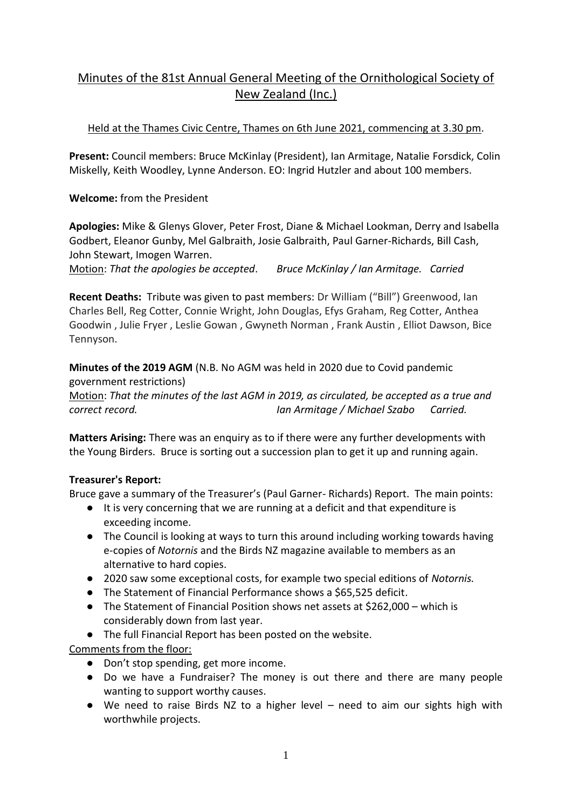# Minutes of the 81st Annual General Meeting of the Ornithological Society of New Zealand (Inc.)

## Held at the Thames Civic Centre, Thames on 6th June 2021, commencing at 3.30 pm.

**Present:** Council members: Bruce McKinlay (President), Ian Armitage, Natalie Forsdick, Colin Miskelly, Keith Woodley, Lynne Anderson. EO: Ingrid Hutzler and about 100 members.

**Welcome:** from the President

**Apologies:** Mike & Glenys Glover, Peter Frost, Diane & Michael Lookman, Derry and Isabella Godbert, Eleanor Gunby, Mel Galbraith, Josie Galbraith, Paul Garner-Richards, Bill Cash, John Stewart, Imogen Warren.

Motion: *That the apologies be accepted*. *Bruce McKinlay / Ian Armitage. Carried*

**Recent Deaths:** Tribute was given to past members: Dr William ("Bill") Greenwood, Ian Charles Bell, Reg Cotter, Connie Wright, John Douglas, Efys Graham, Reg Cotter, Anthea Goodwin , Julie Fryer , Leslie Gowan , Gwyneth Norman , Frank Austin , Elliot Dawson, Bice Tennyson.

**Minutes of the 2019 AGM** (N.B. No AGM was held in 2020 due to Covid pandemic government restrictions)

Motion: *That the minutes of the last AGM in 2019, as circulated, be accepted as a true and correct record. Ian Armitage / Michael Szabo Carried.*

**Matters Arising:** There was an enquiry as to if there were any further developments with the Young Birders. Bruce is sorting out a succession plan to get it up and running again.

## **Treasurer's Report:**

Bruce gave a summary of the Treasurer's (Paul Garner- Richards) Report. The main points:

- It is very concerning that we are running at a deficit and that expenditure is exceeding income.
- The Council is looking at ways to turn this around including working towards having e-copies of *Notornis* and the Birds NZ magazine available to members as an alternative to hard copies.
- 2020 saw some exceptional costs, for example two special editions of *Notornis.*
- The Statement of Financial Performance shows a \$65,525 deficit.
- The Statement of Financial Position shows net assets at \$262,000 which is considerably down from last year.
- The full Financial Report has been posted on the website.

Comments from the floor:

- Don't stop spending, get more income.
- Do we have a Fundraiser? The money is out there and there are many people wanting to support worthy causes.
- We need to raise Birds NZ to a higher level need to aim our sights high with worthwhile projects.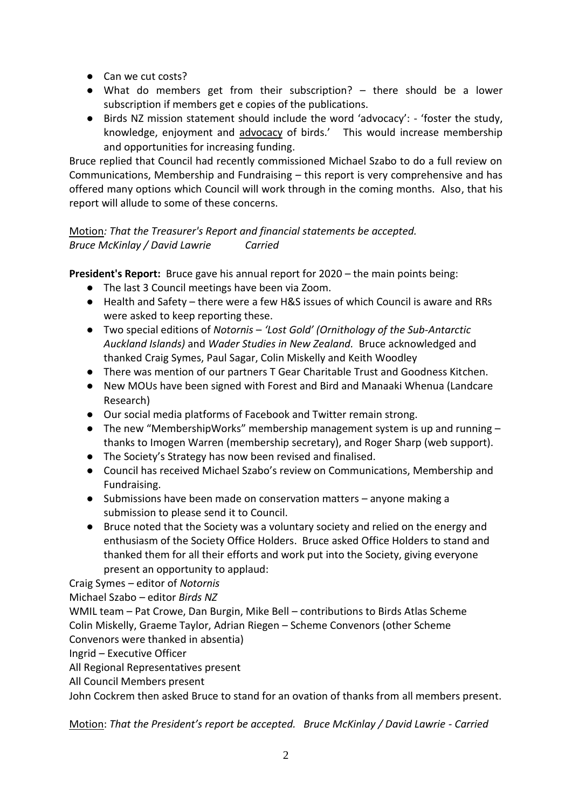- Can we cut costs?
- What do members get from their subscription? there should be a lower subscription if members get e copies of the publications.
- Birds NZ mission statement should include the word 'advocacy': 'foster the study, knowledge, enjoyment and advocacy of birds.' This would increase membership and opportunities for increasing funding.

Bruce replied that Council had recently commissioned Michael Szabo to do a full review on Communications, Membership and Fundraising – this report is very comprehensive and has offered many options which Council will work through in the coming months. Also, that his report will allude to some of these concerns.

## Motion*: That the Treasurer's Report and financial statements be accepted. Bruce McKinlay / David Lawrie Carried*

**President's Report:** Bruce gave his annual report for 2020 – the main points being:

- The last 3 Council meetings have been via Zoom.
- Health and Safety there were a few H&S issues of which Council is aware and RRs were asked to keep reporting these.
- Two special editions of *Notornis 'Lost Gold' (Ornithology of the Sub-Antarctic Auckland Islands)* and *Wader Studies in New Zealand.* Bruce acknowledged and thanked Craig Symes, Paul Sagar, Colin Miskelly and Keith Woodley
- There was mention of our partners T Gear Charitable Trust and Goodness Kitchen.
- New MOUs have been signed with Forest and Bird and Manaaki Whenua (Landcare Research)
- Our social media platforms of Facebook and Twitter remain strong.
- The new "MembershipWorks" membership management system is up and running thanks to Imogen Warren (membership secretary), and Roger Sharp (web support).
- The Society's Strategy has now been revised and finalised.
- Council has received Michael Szabo's review on Communications, Membership and Fundraising.
- Submissions have been made on conservation matters anyone making a submission to please send it to Council.
- Bruce noted that the Society was a voluntary society and relied on the energy and enthusiasm of the Society Office Holders. Bruce asked Office Holders to stand and thanked them for all their efforts and work put into the Society, giving everyone present an opportunity to applaud:

Craig Symes – editor of *Notornis*

Michael Szabo – editor *Birds NZ*

WMIL team – Pat Crowe, Dan Burgin, Mike Bell – contributions to Birds Atlas Scheme Colin Miskelly, Graeme Taylor, Adrian Riegen – Scheme Convenors (other Scheme Convenors were thanked in absentia)

Ingrid – Executive Officer

All Regional Representatives present

All Council Members present

John Cockrem then asked Bruce to stand for an ovation of thanks from all members present.

Motion: That the President's report be accepted. Bruce McKinlay / David Lawrie - Carried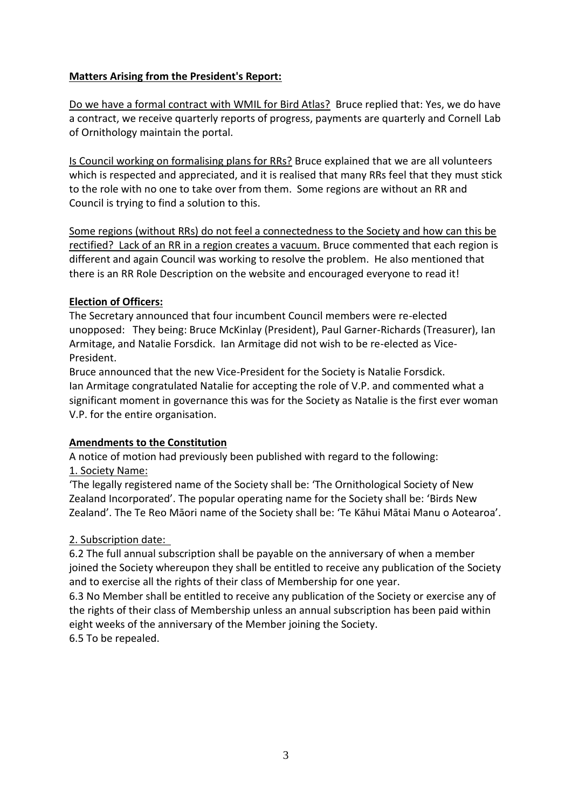### **Matters Arising from the President's Report:**

Do we have a formal contract with WMIL for Bird Atlas? Bruce replied that: Yes, we do have a contract, we receive quarterly reports of progress, payments are quarterly and Cornell Lab of Ornithology maintain the portal.

Is Council working on formalising plans for RRs? Bruce explained that we are all volunteers which is respected and appreciated, and it is realised that many RRs feel that they must stick to the role with no one to take over from them. Some regions are without an RR and Council is trying to find a solution to this.

Some regions (without RRs) do not feel a connectedness to the Society and how can this be rectified? Lack of an RR in a region creates a vacuum. Bruce commented that each region is different and again Council was working to resolve the problem. He also mentioned that there is an RR Role Description on the website and encouraged everyone to read it!

#### **Election of Officers:**

The Secretary announced that four incumbent Council members were re-elected unopposed: They being: Bruce McKinlay (President), Paul Garner-Richards (Treasurer), Ian Armitage, and Natalie Forsdick. Ian Armitage did not wish to be re-elected as Vice-President.

Bruce announced that the new Vice-President for the Society is Natalie Forsdick. Ian Armitage congratulated Natalie for accepting the role of V.P. and commented what a significant moment in governance this was for the Society as Natalie is the first ever woman V.P. for the entire organisation.

## **Amendments to the Constitution**

A notice of motion had previously been published with regard to the following: 1. Society Name:

'The legally registered name of the Society shall be: 'The Ornithological Society of New Zealand Incorporated'. The popular operating name for the Society shall be: 'Birds New Zealand'. The Te Reo Māori name of the Society shall be: 'Te Kāhui Mātai Manu o Aotearoa'.

## 2. Subscription date:

6.2 The full annual subscription shall be payable on the anniversary of when a member joined the Society whereupon they shall be entitled to receive any publication of the Society and to exercise all the rights of their class of Membership for one year.

6.3 No Member shall be entitled to receive any publication of the Society or exercise any of the rights of their class of Membership unless an annual subscription has been paid within eight weeks of the anniversary of the Member joining the Society. 6.5 To be repealed.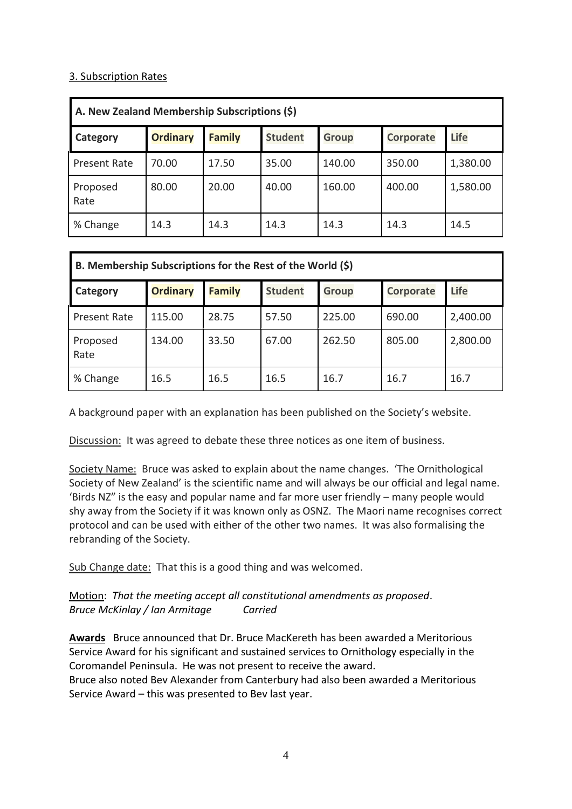#### 3. Subscription Rates

| A. New Zealand Membership Subscriptions (\$) |                 |               |                |              |                  |             |  |  |  |  |
|----------------------------------------------|-----------------|---------------|----------------|--------------|------------------|-------------|--|--|--|--|
| Category                                     | <b>Ordinary</b> | <b>Family</b> | <b>Student</b> | <b>Group</b> | <b>Corporate</b> | <b>Life</b> |  |  |  |  |
| Present Rate                                 | 70.00           | 17.50         | 35.00          | 140.00       | 350.00           | 1,380.00    |  |  |  |  |
| Proposed<br>Rate                             | 80.00           | 20.00         | 40.00          | 160.00       | 400.00           | 1,580.00    |  |  |  |  |
| % Change                                     | 14.3            | 14.3          | 14.3           | 14.3         | 14.3             | 14.5        |  |  |  |  |

| B. Membership Subscriptions for the Rest of the World (\$) |                 |               |                |              |                  |             |  |  |  |  |
|------------------------------------------------------------|-----------------|---------------|----------------|--------------|------------------|-------------|--|--|--|--|
| Category                                                   | <b>Ordinary</b> | <b>Family</b> | <b>Student</b> | <b>Group</b> | <b>Corporate</b> | <b>Life</b> |  |  |  |  |
| Present Rate                                               | 115.00          | 28.75         | 57.50          | 225.00       | 690.00           | 2,400.00    |  |  |  |  |
| Proposed<br>Rate                                           | 134.00          | 33.50         | 67.00          | 262.50       | 805.00           | 2,800.00    |  |  |  |  |
| % Change                                                   | 16.5            | 16.5          | 16.5           | 16.7         | 16.7             | 16.7        |  |  |  |  |

A background paper with an explanation has been published on the Society's website.

Discussion: It was agreed to debate these three notices as one item of business.

Society Name: Bruce was asked to explain about the name changes. 'The Ornithological Society of New Zealand' is the scientific name and will always be our official and legal name. 'Birds NZ" is the easy and popular name and far more user friendly – many people would shy away from the Society if it was known only as OSNZ. The Maori name recognises correct protocol and can be used with either of the other two names. It was also formalising the rebranding of the Society.

Sub Change date: That this is a good thing and was welcomed.

Motion: *That the meeting accept all constitutional amendments as proposed*. *Bruce McKinlay / Ian Armitage Carried*

**Awards** Bruce announced that Dr. Bruce MacKereth has been awarded a Meritorious Service Award for his significant and sustained services to Ornithology especially in the Coromandel Peninsula. He was not present to receive the award.

Bruce also noted Bev Alexander from Canterbury had also been awarded a Meritorious Service Award – this was presented to Bev last year.